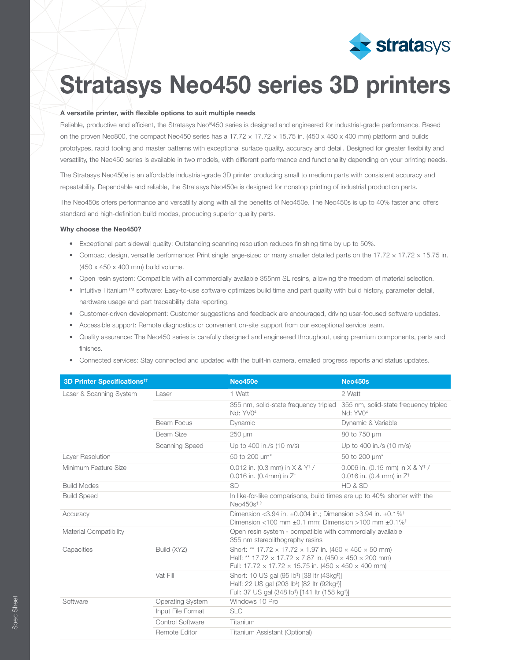

## Stratasys Neo450 series 3D printers

### A versatile printer, with flexible options to suit multiple needs

Reliable, productive and efficient, the Stratasys Neo®450 series is designed and engineered for industrial-grade performance. Based on the proven Neo800, the compact Neo450 series has a 17.72  $\times$  17.72  $\times$  15.75 in. (450  $\times$  450  $\times$  400 mm) platform and builds prototypes, rapid tooling and master patterns with exceptional surface quality, accuracy and detail. Designed for greater flexibility and versatility, the Neo450 series is available in two models, with different performance and functionality depending on your printing needs.

The Stratasys Neo450e is an affordable industrial-grade 3D printer producing small to medium parts with consistent accuracy and repeatability. Dependable and reliable, the Stratasys Neo450e is designed for nonstop printing of industrial production parts.

The Neo450s offers performance and versatility along with all the benefits of Neo450e. The Neo450s is up to 40% faster and offers standard and high-definition build modes, producing superior quality parts.

#### Why choose the Neo450?

- Exceptional part sidewall quality: Outstanding scanning resolution reduces finishing time by up to 50%.
- Compact design, versatile performance: Print single large-sized or many smaller detailed parts on the 17.72  $\times$  17.72  $\times$  15.75 in. (450 x 450 x 400 mm) build volume.
- Open resin system: Compatible with all commercially available 355nm SL resins, allowing the freedom of material selection.
- Intuitive Titanium™ software: Easy-to-use software optimizes build time and part quality with build history, parameter detail, hardware usage and part traceability data reporting.
- Customer-driven development: Customer suggestions and feedback are encouraged, driving user-focused software updates.
- Accessible support: Remote diagnostics or convenient on-site support from our exceptional service team.
- Quality assurance: The Neo450 series is carefully designed and engineered throughout, using premium components, parts and finishes.
- Connected services: Stay connected and updated with the built-in camera, emailed progress reports and status updates.

| <b>3D Printer Specifications<sup>tt</sup></b> |                         | <b>Neo450e</b>                                                                                                                                                                                                                                               | <b>Neo450s</b>                                                             |
|-----------------------------------------------|-------------------------|--------------------------------------------------------------------------------------------------------------------------------------------------------------------------------------------------------------------------------------------------------------|----------------------------------------------------------------------------|
| Laser & Scanning System                       | Laser                   | 1 Watt                                                                                                                                                                                                                                                       | 2 Watt                                                                     |
|                                               |                         | 355 nm, solid-state frequency tripled<br>Nd: YV0 <sup>4</sup>                                                                                                                                                                                                | 355 nm, solid-state frequency tripled<br>Nd: YV0 <sup>4</sup>              |
|                                               | Beam Focus              | Dynamic                                                                                                                                                                                                                                                      | Dynamic & Variable                                                         |
|                                               | Beam Size               | 250 µm                                                                                                                                                                                                                                                       | 80 to 750 um                                                               |
|                                               | Scanning Speed          | Up to 400 in./s (10 m/s)                                                                                                                                                                                                                                     | Up to 400 in./s (10 m/s)                                                   |
| Layer Resolution                              |                         | 50 to 200 $\mu$ m <sup>*</sup>                                                                                                                                                                                                                               | 50 to 200 $\mu$ m <sup>*</sup>                                             |
| Minimum Feature Size                          |                         | 0.012 in. (0.3 mm) in $X \& Y^{\dagger}$ /<br>0.016 in. (0.4mm) in $Z^{\dagger}$                                                                                                                                                                             | 0.006 in. (0.15 mm) in $X \& Y^{\dagger}$ /<br>0.016 in. (0.4 mm) in $Z^+$ |
| <b>Build Modes</b>                            |                         | <b>SD</b>                                                                                                                                                                                                                                                    | HD & SD                                                                    |
| <b>Build Speed</b>                            |                         | In like-for-like comparisons, build times are up to 40% shorter with the<br>Neo $450s^{\dagger}$                                                                                                                                                             |                                                                            |
| Accuracy                                      |                         | Dimension <3.94 in. $\pm 0.004$ in.; Dimension >3.94 in. $\pm 0.1\%$ <sup>+</sup><br>Dimension <100 mm $\pm$ 0.1 mm; Dimension >100 mm $\pm$ 0.1% <sup>+</sup>                                                                                               |                                                                            |
| <b>Material Compatibility</b>                 |                         | Open resin system - compatible with commercially available<br>355 nm stereolithography resins                                                                                                                                                                |                                                                            |
| Capacities                                    | Build (XYZ)             | Short: ** 17.72 $\times$ 17.72 $\times$ 1.97 in. (450 $\times$ 450 $\times$ 50 mm)<br>Half: ** 17.72 $\times$ 17.72 $\times$ 7.87 in. (450 $\times$ 450 $\times$ 200 mm)<br>Full: 17.72 $\times$ 17.72 $\times$ 15.75 in. (450 $\times$ 450 $\times$ 400 mm) |                                                                            |
|                                               | Vat Fill                | Short: 10 US gal (95 lb <sup>#</sup> ) [38 ltr (43kg <sup>#</sup> )]<br>Half: 22 US gal (203 lb <sup>+)</sup> [82 ltr (92kg <sup>+)</sup> ]<br>Full: 37 US gal (348 lb <sup>‡</sup> ) [141 ltr (158 kg <sup>‡</sup> )]                                       |                                                                            |
| Software                                      | <b>Operating System</b> | Windows 10 Pro                                                                                                                                                                                                                                               |                                                                            |
|                                               | Input File Format       | <b>SLC</b>                                                                                                                                                                                                                                                   |                                                                            |
|                                               | Control Software        | Titanium                                                                                                                                                                                                                                                     |                                                                            |
|                                               | Remote Editor           | Titanium Assistant (Optional)                                                                                                                                                                                                                                |                                                                            |